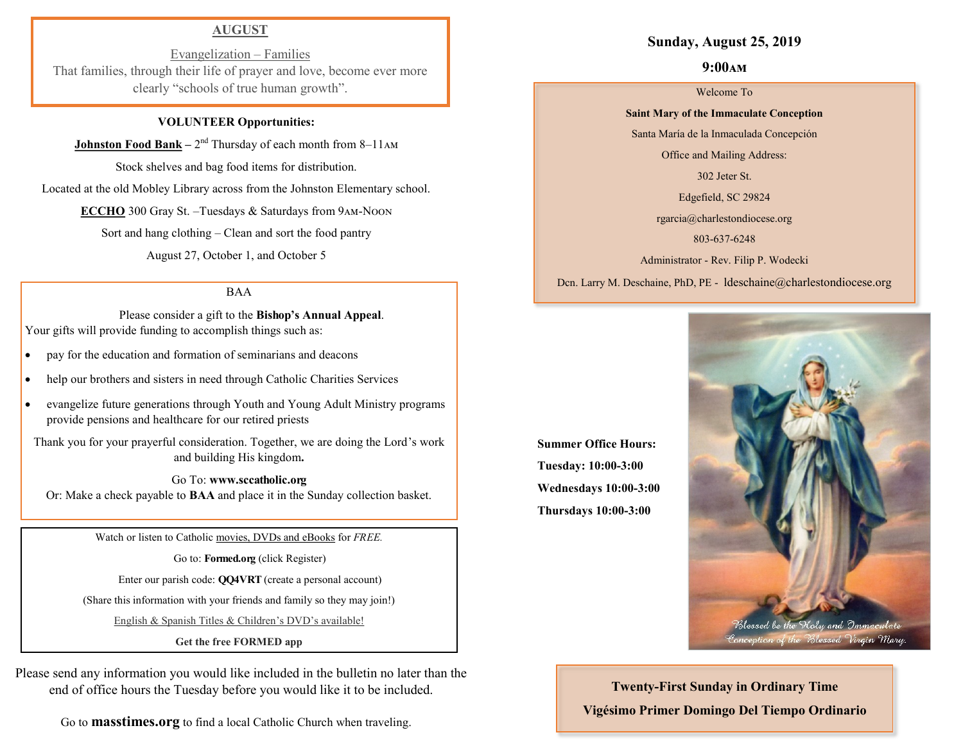### **AUGUST**

Evangelization – Families That families, through their life of prayer and love, become ever more clearly "schools of true human growth".

### **VOLUNTEER Opportunities:**

**Johnston Food Bank** – 2<sup>nd</sup> Thursday of each month from 8–11AM

Stock shelves and bag food items for distribution.

Located at the old Mobley Library across from the Johnston Elementary school.

**ECCHO** 300 Gray St. –Tuesdays & Saturdays from 9am-Noon

Sort and hang clothing – Clean and sort the food pantry

August 27, October 1, and October 5

### BAA

 Please consider a gift to the **Bishop's Annual Appeal**. Your gifts will provide funding to accomplish things such as:

- pay for the education and formation of seminarians and deacons
- help our brothers and sisters in need through Catholic Charities Services
- evangelize future generations through Youth and Young Adult Ministry programs provide pensions and healthcare for our retired priests

Thank you for your prayerful consideration. Together, we are doing the Lord's work and building His kingdom**.** 

Go To: **www.sccatholic.org** Or: Make a check payable to **BAA** and place it in the Sunday collection basket.

Watch or listen to Catholic movies, DVDs and eBooks for *FREE.*

Go to: **Formed.org** (click Register)

Enter our parish code: **QQ4VRT** (create a personal account)

(Share this information with your friends and family so they may join!)

English & Spanish Titles & Children's DVD's available!

**Get the free FORMED app**

Please send any information you would like included in the bulletin no later than the end of office hours the Tuesday before you would like it to be included.

Go to **masstimes.org** to find a local Catholic Church when traveling.

### **Sunday, August 25, 2019**

### **9:00am**

#### Welcome To

**Saint Mary of the Immaculate Conception**  Santa María de la Inmaculada Concepción

Office and Mailing Address:

302 Jeter St.

Edgefield, SC 29824

rgarcia@charlestondiocese.org

803-637-6248

Administrator - Rev. Filip P. Wodecki

Dcn. Larry M. Deschaine, PhD, PE - ldeschaine@charlestondiocese.org

**Summer Office Hours: Tuesday: 10:00-3:00 Wednesdays 10:00-3:00 Thursdays 10:00-3:00**



**Twenty-First Sunday in Ordinary Time Vigésimo Primer Domingo Del Tiempo Ordinario**